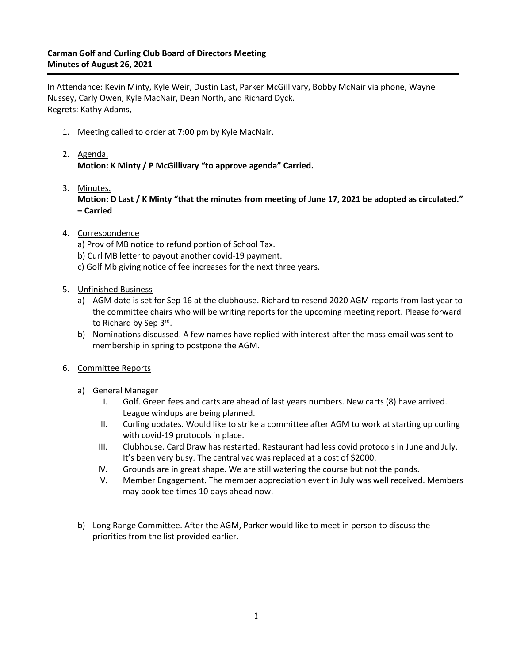## **Carman Golf and Curling Club Board of Directors Meeting Minutes of August 26, 2021**

In Attendance: Kevin Minty, Kyle Weir, Dustin Last, Parker McGillivary, Bobby McNair via phone, Wayne Nussey, Carly Owen, Kyle MacNair, Dean North, and Richard Dyck. Regrets: Kathy Adams,

- 1. Meeting called to order at 7:00 pm by Kyle MacNair.
- 2. Agenda. **Motion: K Minty / P McGillivary "to approve agenda" Carried.**
- 3. Minutes. **Motion: D Last / K Minty "that the minutes from meeting of June 17, 2021 be adopted as circulated." – Carried**
- 4. Correspondence
	- a) Prov of MB notice to refund portion of School Tax.
	- b) Curl MB letter to payout another covid-19 payment.
	- c) Golf Mb giving notice of fee increases for the next three years.
- 5. Unfinished Business
	- a) AGM date is set for Sep 16 at the clubhouse. Richard to resend 2020 AGM reports from last year to the committee chairs who will be writing reports for the upcoming meeting report. Please forward to Richard by Sep 3<sup>rd</sup>.
	- b) Nominations discussed. A few names have replied with interest after the mass email was sent to membership in spring to postpone the AGM.
- 6. Committee Reports
	- a) General Manager
		- I. Golf. Green fees and carts are ahead of last years numbers. New carts (8) have arrived. League windups are being planned.
		- II. Curling updates. Would like to strike a committee after AGM to work at starting up curling with covid-19 protocols in place.
		- III. Clubhouse. Card Draw has restarted. Restaurant had less covid protocols in June and July. It's been very busy. The central vac was replaced at a cost of \$2000.
		- IV. Grounds are in great shape. We are still watering the course but not the ponds.
		- V. Member Engagement. The member appreciation event in July was well received. Members may book tee times 10 days ahead now.
	- b) Long Range Committee. After the AGM, Parker would like to meet in person to discuss the priorities from the list provided earlier.